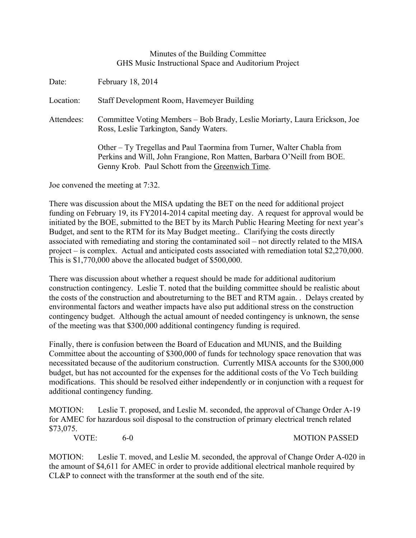## Minutes of the Building Committee GHS Music Instructional Space and Auditorium Project

Date: February 18, 2014 Location: Staff Development Room, Havemeyer Building Attendees: Committee Voting Members – Bob Brady, Leslie Moriarty, Laura Erickson, Joe Ross, Leslie Tarkington, Sandy Waters. Other – Ty Tregellas and Paul Taormina from Turner, Walter Chabla from Perkins and Will, John Frangione, Ron Matten, Barbara O'Neill from BOE. Genny Krob. Paul Schott from the Greenwich Time.

Joe convened the meeting at 7:32.

There was discussion about the MISA updating the BET on the need for additional project funding on February 19, its FY2014-2014 capital meeting day. A request for approval would be initiated by the BOE, submitted to the BET by its March Public Hearing Meeting for next year's Budget, and sent to the RTM for its May Budget meeting.. Clarifying the costs directly associated with remediating and storing the contaminated soil – not directly related to the MISA project – is complex. Actual and anticipated costs associated with remediation total \$2,270,000. This is \$1,770,000 above the allocated budget of \$500,000.

There was discussion about whether a request should be made for additional auditorium construction contingency. Leslie T. noted that the building committee should be realistic about the costs of the construction and aboutreturning to the BET and RTM again. . Delays created by environmental factors and weather impacts have also put additional stress on the construction contingency budget. Although the actual amount of needed contingency is unknown, the sense of the meeting was that \$300,000 additional contingency funding is required.

Finally, there is confusion between the Board of Education and MUNIS, and the Building Committee about the accounting of \$300,000 of funds for technology space renovation that was necessitated because of the auditorium construction. Currently MISA accounts for the \$300,000 budget, but has not accounted for the expenses for the additional costs of the Vo Tech building modifications. This should be resolved either independently or in conjunction with a request for additional contingency funding.

MOTION: Leslie T. proposed, and Leslie M. seconded, the approval of Change Order A-19 for AMEC for hazardous soil disposal to the construction of primary electrical trench related \$73,075.

VOTE: 6-0 MOTION PASSED

MOTION: Leslie T. moved, and Leslie M. seconded, the approval of Change Order A-020 in the amount of \$4,611 for AMEC in order to provide additional electrical manhole required by CL&P to connect with the transformer at the south end of the site.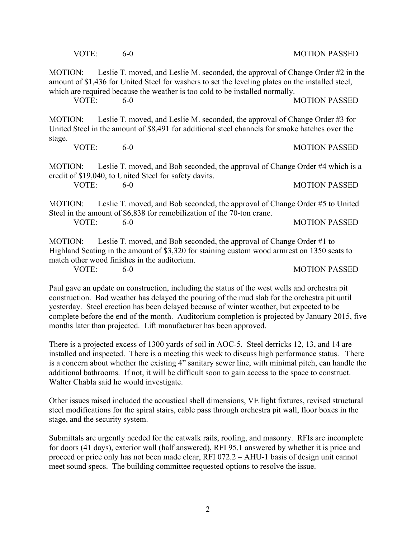VOTE: 6-0 6-0 MOTION PASSED

MOTION: Leslie T. moved, and Leslie M. seconded, the approval of Change Order #2 in the amount of \$1,436 for United Steel for washers to set the leveling plates on the installed steel, which are required because the weather is too cold to be installed normally.

VOTE: 6-0 MOTION PASSED

MOTION: Leslie T. moved, and Leslie M. seconded, the approval of Change Order #3 for United Steel in the amount of \$8,491 for additional steel channels for smoke hatches over the stage.

MOTION: Leslie T. moved, and Bob seconded, the approval of Change Order #4 which is a credit of \$19,040, to United Steel for safety davits.

VOTE 6-0 6-0 MOTION PASSED

MOTION: Leslie T. moved, and Bob seconded, the approval of Change Order #5 to United Steel in the amount of \$6,838 for remobilization of the 70-ton crane. VOTE: 6-0 6-0 MOTION PASSED

MOTION: Leslie T. moved, and Bob seconded, the approval of Change Order #1 to Highland Seating in the amount of \$3,320 for staining custom wood armrest on 1350 seats to match other wood finishes in the auditorium.

VOTE: 6-0 MOTION PASSED

Paul gave an update on construction, including the status of the west wells and orchestra pit construction. Bad weather has delayed the pouring of the mud slab for the orchestra pit until yesterday. Steel erection has been delayed because of winter weather, but expected to be complete before the end of the month. Auditorium completion is projected by January 2015, five months later than projected. Lift manufacturer has been approved.

There is a projected excess of 1300 yards of soil in AOC-5. Steel derricks 12, 13, and 14 are installed and inspected. There is a meeting this week to discuss high performance status. There is a concern about whether the existing 4" sanitary sewer line, with minimal pitch, can handle the additional bathrooms. If not, it will be difficult soon to gain access to the space to construct. Walter Chabla said he would investigate.

Other issues raised included the acoustical shell dimensions, VE light fixtures, revised structural steel modifications for the spiral stairs, cable pass through orchestra pit wall, floor boxes in the stage, and the security system.

Submittals are urgently needed for the catwalk rails, roofing, and masonry. RFIs are incomplete for doors (41 days), exterior wall (half answered), RFI 95.1 answered by whether it is price and proceed or price only has not been made clear, RFI 072.2 – AHU-1 basis of design unit cannot meet sound specs. The building committee requested options to resolve the issue.

VOTE: 6-0 MOTION PASSED